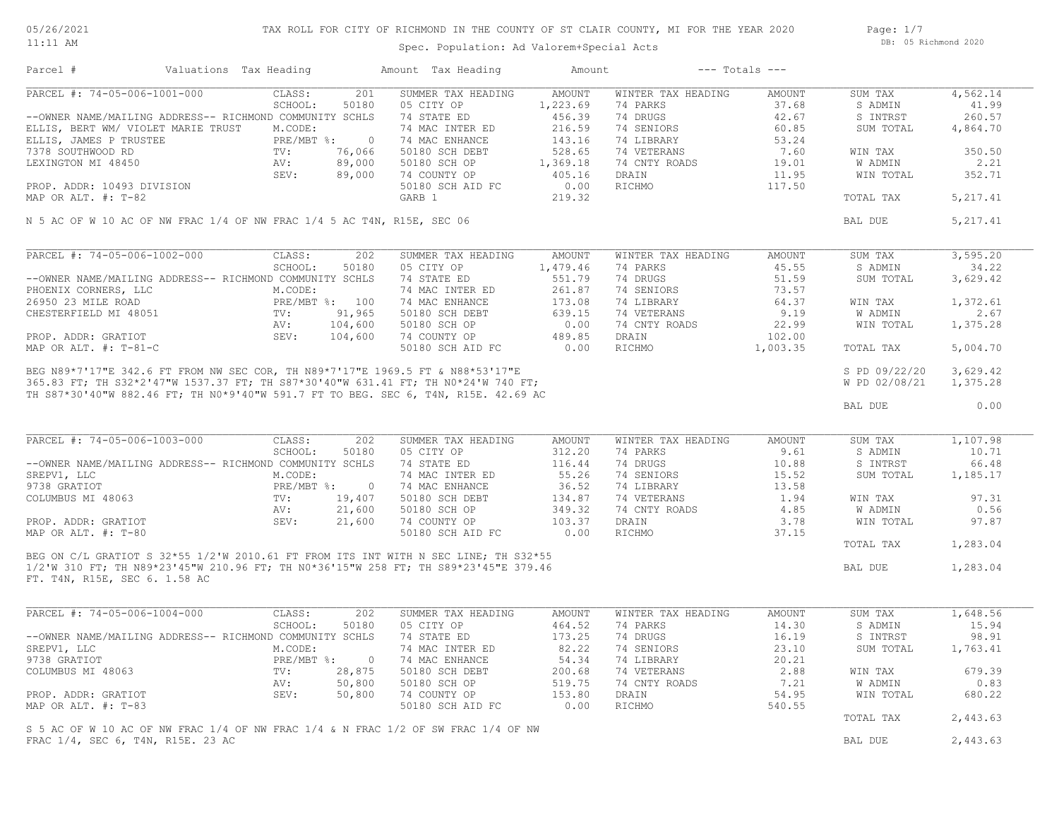05/26/2021 11:11 AM

## TAX ROLL FOR CITY OF RICHMOND IN THE COUNTY OF ST CLAIR COUNTY, MI FOR THE YEAR 2020

Spec. Population: Ad Valorem+Special Acts

Page: 1/7 DB: 05 Richmond 2020

| Parcel #                                                               | Valuations Tax Heading     |                |                | Amount Tax Heading                                                                  | Amount        |                    | $---$ Totals $---$ |               |           |
|------------------------------------------------------------------------|----------------------------|----------------|----------------|-------------------------------------------------------------------------------------|---------------|--------------------|--------------------|---------------|-----------|
| PARCEL #: 74-05-006-1001-000                                           |                            | CLASS:         | 201            | SUMMER TAX HEADING                                                                  | AMOUNT        | WINTER TAX HEADING | AMOUNT             | SUM TAX       | 4,562.14  |
|                                                                        |                            | SCHOOL:        | 50180          | 05 CITY OP                                                                          | 1,223.69      | 74 PARKS           | 37.68              | S ADMIN       | 41.99     |
| --OWNER NAME/MAILING ADDRESS-- RICHMOND COMMUNITY SCHLS                |                            |                |                | 74 STATE ED                                                                         | 456.39        | 74 DRUGS           | 42.67              | S INTRST      | 260.57    |
| ELLIS, BERT WM/ VIOLET MARIE TRUST M.CODE:                             |                            |                |                | 74 MAC INTER ED                                                                     | 216.59        | 74 SENIORS         | 60.85              | SUM TOTAL     | 4,864.70  |
| ELLIS, JAMES P TRUSTEE                                                 | E<br>FRE/MBT<br>TV:<br>AV: | PRE/MBT %: 0   |                | 74 MAC ENHANCE                                                                      | 143.16        | 74 LIBRARY         | 53.24              |               |           |
| 7378 SOUTHWOOD RD                                                      |                            |                | 76,066         | 50180 SCH DEBT                                                                      | 528.65        | 74 VETERANS        | 7.60               | WIN TAX       | 350.50    |
| LEXINGTON MI 48450                                                     |                            |                | 89,000         | 50180 SCH OP                                                                        | 1,369.18      | 74 CNTY ROADS      | 19.01              | W ADMIN       | 2.21      |
|                                                                        |                            | SEV:           | 89,000         | 74 COUNTY OP                                                                        | 405.16        | DRAIN              | 11.95              | WIN TOTAL     | 352.71    |
| PROP. ADDR: 10493 DIVISION                                             |                            |                |                | 50180 SCH AID FC                                                                    | 0.00          | RICHMO             | 117.50             |               |           |
| MAP OR ALT. #: T-82                                                    |                            |                |                | GARB 1                                                                              | 219.32        |                    |                    | TOTAL TAX     | 5, 217.41 |
| N 5 AC OF W 10 AC OF NW FRAC 1/4 OF NW FRAC 1/4 5 AC T4N, R15E, SEC 06 |                            |                |                |                                                                                     |               |                    |                    | BAL DUE       | 5, 217.41 |
|                                                                        |                            |                |                |                                                                                     |               |                    |                    |               |           |
| PARCEL #: 74-05-006-1002-000                                           |                            | CLASS:         | 202            | SUMMER TAX HEADING                                                                  | AMOUNT        | WINTER TAX HEADING | AMOUNT             | SUM TAX       | 3,595.20  |
|                                                                        |                            | SCHOOL:        | 50180          | 05 CITY OP                                                                          | 1,479.46      | 74 PARKS           | 45.55              | S ADMIN       | 34.22     |
| --OWNER NAME/MAILING ADDRESS-- RICHMOND COMMUNITY SCHLS                |                            |                |                | 74 STATE ED                                                                         | 551.79        | 74 DRUGS           | 51.59              | SUM TOTAL     | 3,629.42  |
| PHOENIX CORNERS, LLC                                                   |                            | M.CODE:        |                | 74 MAC INTER ED                                                                     | 261.87        | 74 SENIORS         | 73.57              |               |           |
| 26950 23 MILE ROAD                                                     |                            | PRE/MBT %: 100 |                | 74 MAC ENHANCE                                                                      | 173.08        | 74 LIBRARY         | 64.37              | WIN TAX       | 1,372.61  |
| CHESTERFIELD MI 48051                                                  |                            | FRE/F<br>TV:   | 91,965         | 50180 SCH DEBT                                                                      | 639.15        | 74 VETERANS        | 9.19               | W ADMIN       | 2.67      |
|                                                                        |                            | AV:            | 104,600        | 50180 SCH OP                                                                        | 0.00          | 74 CNTY ROADS      | 22.99              | WIN TOTAL     | 1,375.28  |
| PROP. ADDR: GRATIOT                                                    |                            | SEV: 104,600   |                | 74 COUNTY OP                                                                        | 489.85        | DRAIN              | 102.00             |               |           |
| MAP OR ALT. #: T-81-C                                                  |                            |                |                | 50180 SCH AID FC                                                                    | 0.00          | RICHMO             | 1,003.35           | TOTAL TAX     | 5,004.70  |
|                                                                        |                            |                |                |                                                                                     |               |                    |                    | S PD 09/22/20 | 3,629.42  |
|                                                                        |                            |                |                |                                                                                     |               |                    |                    | W PD 02/08/21 | 1,375.28  |
|                                                                        |                            |                |                | TH S87*30'40"W 882.46 FT; TH N0*9'40"W 591.7 FT TO BEG. SEC 6, T4N, R15E. 42.69 AC  |               |                    |                    |               |           |
|                                                                        |                            |                |                |                                                                                     |               |                    |                    | BAL DUE       | 0.00      |
| PARCEL #: 74-05-006-1003-000                                           |                            | CLASS:         | 202            | SUMMER TAX HEADING                                                                  | AMOUNT        | WINTER TAX HEADING | AMOUNT             | SUM TAX       | 1,107.98  |
|                                                                        |                            |                |                |                                                                                     |               |                    |                    |               |           |
|                                                                        |                            | SCHOOL:        | 50180          | 05 CITY OP                                                                          | 312.20        | 74 PARKS           | 9.61               | S ADMIN       | 10.71     |
| --OWNER NAME/MAILING ADDRESS-- RICHMOND COMMUNITY SCHLS                |                            |                |                | 74 STATE ED                                                                         | 116.44        | 74 DRUGS           | 10.88              | S INTRST      | 66.48     |
| SREPV1, LLC                                                            |                            | M.CODE:        |                | 74 MAC INTER ED                                                                     | 55.26         | 74 SENIORS         | 15.52              | SUM TOTAL     | 1,185.17  |
| 9738 GRATIOT                                                           |                            | PRE/MBT %: 0   |                | 74 MAC ENHANCE                                                                      | 36.52         | 74 LIBRARY         | 13.58              |               |           |
| COLUMBUS MI 48063                                                      |                            | TV:            | 19,407         | 50180 SCH DEBT                                                                      | 134.87        | 74 VETERANS        | 1.94               | WIN TAX       | 97.31     |
|                                                                        |                            | AV:            | 21,600         | 50180 SCH OP                                                                        | 349.32        | 74 CNTY ROADS      | 4.85               | W ADMIN       | 0.56      |
| PROP. ADDR: GRATIOT                                                    |                            | SEV:           | 21,600         | 74 COUNTY OP                                                                        | 103.37        | DRAIN              | 3.78               | WIN TOTAL     | 97.87     |
| MAP OR ALT. #: T-80                                                    |                            |                |                | 50180 SCH AID FC                                                                    | 0.00          | RICHMO             | 37.15              |               |           |
|                                                                        |                            |                |                |                                                                                     |               |                    |                    | TOTAL TAX     | 1,283.04  |
|                                                                        |                            |                |                | BEG ON C/L GRATIOT S 32*55 1/2'W 2010.61 FT FROM ITS INT WITH N SEC LINE; TH S32*55 |               |                    |                    |               |           |
|                                                                        |                            |                |                | 1/2'W 310 FT; TH N89*23'45"W 210.96 FT; TH N0*36'15"W 258 FT; TH S89*23'45"E 379.46 |               |                    |                    | BAL DUE       | 1,283.04  |
| FT. T4N, R15E, SEC 6. 1.58 AC                                          |                            |                |                |                                                                                     |               |                    |                    |               |           |
|                                                                        |                            |                |                |                                                                                     |               |                    |                    |               |           |
| PARCEL #: 74-05-006-1004-000                                           |                            | CLASS:         | 202            | SUMMER TAX HEADING                                                                  | <b>AMOUNT</b> | WINTER TAX HEADING | AMOUNT             | SUM TAX       | 1,648.56  |
|                                                                        |                            | SCHOOL:        | 50180          | 05 CITY OP                                                                          | 464.52        | 74 PARKS           | 14.30              | S ADMIN       | 15.94     |
| --OWNER NAME/MAILING ADDRESS-- RICHMOND COMMUNITY SCHLS                |                            |                |                | 74 STATE ED                                                                         | 173.25        | 74 DRUGS           | 16.19              | S INTRST      | 98.91     |
| SREPV1, LLC                                                            |                            | M.CODE:        |                | 74 MAC INTER ED                                                                     | 82.22         | 74 SENIORS         | 23.10              | SUM TOTAL     | 1,763.41  |
| 9738 GRATIOT                                                           |                            | PRE/MBT %:     | $\overline{0}$ | 74 MAC ENHANCE                                                                      | 54.34         | 74 LIBRARY         | 20.21              |               |           |
| COLUMBUS MI 48063                                                      |                            | TV:            | 28,875         | 50180 SCH DEBT                                                                      | 200.68        | 74 VETERANS        | 2.88               | WIN TAX       | 679.39    |
|                                                                        |                            | AV:            | 50,800         | 50180 SCH OP                                                                        | 519.75        | 74 CNTY ROADS      | 7.21               | W ADMIN       | 0.83      |
| PROP. ADDR: GRATIOT                                                    |                            | SEV:           | 50,800         | 74 COUNTY OP                                                                        | 153.80        | DRAIN              | 54.95              | WIN TOTAL     | 680.22    |
| MAP OR ALT. #: T-83                                                    |                            |                |                | 50180 SCH AID FC                                                                    | 0.00          | RICHMO             | 540.55             |               |           |
|                                                                        |                            |                |                |                                                                                     |               |                    |                    | TOTAL TAX     | 2,443.63  |
|                                                                        |                            |                |                | S 5 AC OF W 10 AC OF NW FRAC 1/4 OF NW FRAC 1/4 & N FRAC 1/2 OF SW FRAC 1/4 OF NW   |               |                    |                    |               |           |
| FRAC 1/4, SEC 6, T4N, R15E. 23 AC                                      |                            |                |                |                                                                                     |               |                    |                    | BAL DUE       | 2,443.63  |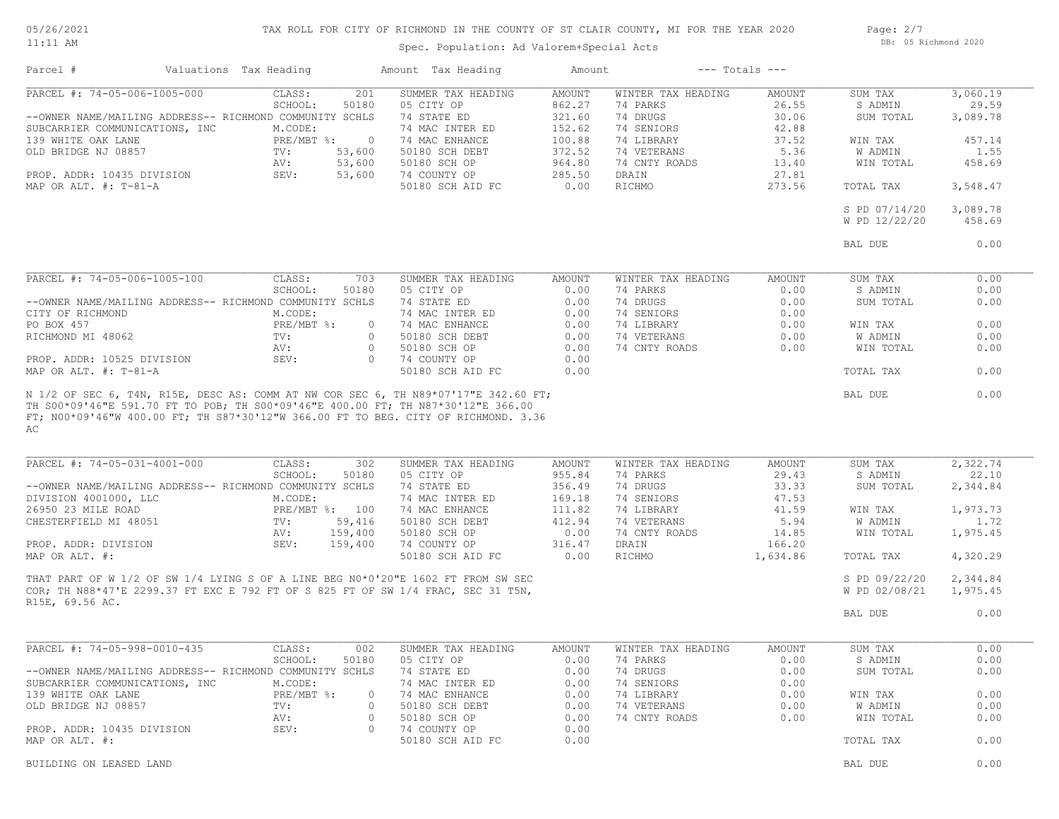05/26/2021 11:11 AM

## TAX ROLL FOR CITY OF RICHMOND IN THE COUNTY OF ST CLAIR COUNTY, MI FOR THE YEAR 2020

Spec. Population: Ad Valorem+Special Acts

Page: 2/7 DB: 05 Richmond 2020

| Parcel #                                                                                  | Valuations Tax Heading |                              | Amount Tax Heading                                                                                                                                                   | Amount           |                           | $---$ Totals $---$ |                                |                      |
|-------------------------------------------------------------------------------------------|------------------------|------------------------------|----------------------------------------------------------------------------------------------------------------------------------------------------------------------|------------------|---------------------------|--------------------|--------------------------------|----------------------|
| PARCEL #: 74-05-006-1005-000                                                              |                        | CLASS:                       | 201<br>SUMMER TAX HEADING                                                                                                                                            | <b>AMOUNT</b>    | WINTER TAX HEADING        | AMOUNT             | SUM TAX                        | 3,060.19             |
|                                                                                           |                        | SCHOOL:<br>50180             | 05 CITY OP                                                                                                                                                           | 862.27           | 74 PARKS                  | 26.55              | S ADMIN                        | 29.59                |
| --OWNER NAME/MAILING ADDRESS-- RICHMOND COMMUNITY SCHLS<br>SUBCARRIER COMMUNICATIONS, INC |                        | M.CODE:                      | 74 STATE ED<br>74 MAC INTER ED                                                                                                                                       | 321.60<br>152.62 | 74 DRUGS<br>74 SENIORS    | 30.06<br>42.88     | SUM TOTAL                      | 3,089.78             |
| 139 WHITE OAK LANE                                                                        |                        | PRE/MBT %:<br>$\overline{0}$ | 74 MAC ENHANCE                                                                                                                                                       | 100.88           | 74 LIBRARY                | 37.52              | WIN TAX                        | 457.14               |
| OLD BRIDGE NJ 08857                                                                       |                        | TV:<br>53,600                | 50180 SCH DEBT                                                                                                                                                       | 372.52           | 74 VETERANS               | 5.36               | W ADMIN                        | 1.55                 |
|                                                                                           |                        | 53,600<br>AV:                | 50180 SCH OP                                                                                                                                                         | 964.80           | 74 CNTY ROADS             | 13.40              | WIN TOTAL                      | 458.69               |
| PROP. ADDR: 10435 DIVISION                                                                |                        | SEV:<br>53,600               | 74 COUNTY OP                                                                                                                                                         | 285.50           | DRAIN                     | 27.81              |                                |                      |
| MAP OR ALT. $\#$ : T-81-A                                                                 |                        |                              | 50180 SCH AID FC                                                                                                                                                     | 0.00             | RICHMO                    | 273.56             | TOTAL TAX                      | 3,548.47             |
|                                                                                           |                        |                              |                                                                                                                                                                      |                  |                           |                    | S PD 07/14/20                  | 3,089.78             |
|                                                                                           |                        |                              |                                                                                                                                                                      |                  |                           |                    | W PD 12/22/20                  | 458.69               |
|                                                                                           |                        |                              |                                                                                                                                                                      |                  |                           |                    | BAL DUE                        | 0.00                 |
|                                                                                           |                        |                              |                                                                                                                                                                      |                  |                           |                    |                                |                      |
| PARCEL #: 74-05-006-1005-100                                                              |                        | CLASS:                       | SUMMER TAX HEADING<br>703                                                                                                                                            | AMOUNT           | WINTER TAX HEADING        | AMOUNT             | SUM TAX                        | 0.00                 |
|                                                                                           |                        | SCHOOL:<br>50180             | 05 CITY OP                                                                                                                                                           | 0.00             | 74 PARKS                  | 0.00               | S ADMIN                        | 0.00                 |
| --OWNER NAME/MAILING ADDRESS-- RICHMOND COMMUNITY SCHLS                                   |                        |                              | 74 STATE ED                                                                                                                                                          | 0.00             | 74 DRUGS                  | 0.00               | SUM TOTAL                      | 0.00                 |
| CITY OF RICHMOND                                                                          |                        | M.CODE:                      | 74 MAC INTER ED                                                                                                                                                      | 0.00             | 74 SENIORS                | 0.00               |                                |                      |
| PO BOX 457                                                                                |                        | PRE/MBT %:                   | 74 MAC ENHANCE<br>$\circ$                                                                                                                                            | 0.00             | 74 LIBRARY                | 0.00               | WIN TAX                        | 0.00                 |
| RICHMOND MI 48062                                                                         |                        | TV:                          | 50180 SCH DEBT<br>$\circ$                                                                                                                                            | 0.00             | 74 VETERANS               | 0.00               | <b>W ADMIN</b>                 | 0.00                 |
| PROP. ADDR: 10525 DIVISION                                                                |                        | AV:<br>SEV:                  | $\circ$<br>50180 SCH OP<br>$\circ$                                                                                                                                   | 0.00<br>0.00     | 74 CNTY ROADS             | 0.00               | WIN TOTAL                      | 0.00                 |
| MAP OR ALT. #: T-81-A                                                                     |                        |                              | 74 COUNTY OP<br>50180 SCH AID FC                                                                                                                                     | 0.00             |                           |                    | TOTAL TAX                      | 0.00                 |
| AC<br>PARCEL #: 74-05-031-4001-000                                                        |                        | CLASS:                       | FT; N00*09'46"W 400.00 FT; TH S87*30'12"W 366.00 FT TO BEG. CITY OF RICHMOND. 3.36<br>302<br>SUMMER TAX HEADING                                                      | AMOUNT           | WINTER TAX HEADING        | AMOUNT             | SUM TAX                        | 2,322.74             |
|                                                                                           |                        | SCHOOL:<br>50180             | 05 CITY OP                                                                                                                                                           | 955.84           | 74 PARKS                  | 29.43              | S ADMIN                        | 22.10                |
| --OWNER NAME/MAILING ADDRESS-- RICHMOND COMMUNITY SCHLS                                   |                        |                              | 74 STATE ED                                                                                                                                                          | 356.49           | 74 DRUGS                  | 33.33              | SUM TOTAL                      | 2,344.84             |
| DIVISION 4001000, LLC                                                                     |                        | M.CODE:                      | 74 MAC INTER ED                                                                                                                                                      | 169.18           | 74 SENIORS                | 47.53              |                                |                      |
| 26950 23 MILE ROAD                                                                        |                        | PRE/MBT %: 100               | 74 MAC ENHANCE                                                                                                                                                       | 111.82           | 74 LIBRARY                | 41.59              | WIN TAX                        | 1,973.73             |
| CHESTERFIELD MI 48051                                                                     |                        | $\text{TV}$ :<br>59,416      | 50180 SCH DEBT                                                                                                                                                       | 412.94           | 74 VETERANS               | 5.94               | W ADMIN                        | 1.72                 |
|                                                                                           |                        | 159,400<br>AV:<br>SEV:       | 50180 SCH OP                                                                                                                                                         | 0.00             | 74 CNTY ROADS             | 14.85              | WIN TOTAL                      | 1,975.45             |
| PROP. ADDR: DIVISION<br>MAP OR ALT. #:                                                    |                        | 159,400                      | 74 COUNTY OP<br>50180 SCH AID FC                                                                                                                                     | 316.47<br>0.00   | DRAIN<br>RICHMO           | 166.20<br>1,634.86 | TOTAL TAX                      | 4,320.29             |
|                                                                                           |                        |                              |                                                                                                                                                                      |                  |                           |                    |                                |                      |
|                                                                                           |                        |                              | THAT PART OF W 1/2 OF SW 1/4 LYING S OF A LINE BEG N0*0'20"E 1602 FT FROM SW SEC<br>COR; TH N88*47'E 2299.37 FT EXC E 792 FT OF S 825 FT OF SW 1/4 FRAC, SEC 31 T5N, |                  |                           |                    | S PD 09/22/20<br>W PD 02/08/21 | 2,344.84<br>1,975.45 |
| R15E, 69.56 AC.                                                                           |                        |                              |                                                                                                                                                                      |                  |                           |                    |                                |                      |
|                                                                                           |                        |                              |                                                                                                                                                                      |                  |                           |                    | BAL DUE                        | 0.00                 |
|                                                                                           |                        |                              |                                                                                                                                                                      |                  |                           |                    |                                |                      |
| PARCEL #: 74-05-998-0010-435                                                              |                        | CLASS:                       | SUMMER TAX HEADING<br>002                                                                                                                                            | AMOUNT           | WINTER TAX HEADING        | AMOUNT             | SUM TAX                        | 0.00                 |
|                                                                                           |                        | SCHOOL:                      | 50180 05 CITY OP                                                                                                                                                     |                  | 0.00 74 PARKS<br>74 DRUGS | 0.00               | S ADMIN                        | 0.00<br>0.00         |
| --OWNER NAME/MAILING ADDRESS-- RICHMOND COMMUNITY SCHLS<br>SUBCARRIER COMMUNICATIONS, INC |                        | M.CODE:                      | 74 STATE ED<br>74 MAC INTER ED                                                                                                                                       | 0.00<br>0.00     | 74 SENIORS                | 0.00<br>0.00       | SUM TOTAL                      |                      |
| 139 WHITE OAK LANE                                                                        |                        | $PRE/MBT$ %:                 | 74 MAC ENHANCE<br>$\circ$                                                                                                                                            | 0.00             | 74 LIBRARY                | 0.00               | WIN TAX                        | 0.00                 |
| OLD BRIDGE NJ 08857                                                                       |                        | TV:                          | 50180 SCH DEBT<br>$\circ$                                                                                                                                            | 0.00             | 74 VETERANS               | 0.00               | W ADMIN                        | 0.00                 |
|                                                                                           |                        | AV:                          | 50180 SCH OP<br>$\circ$                                                                                                                                              | 0.00             | 74 CNTY ROADS             | 0.00               | WIN TOTAL                      | 0.00                 |
| PROP. ADDR: 10435 DIVISION                                                                |                        | SEV:                         | 74 COUNTY OP<br>$\circ$                                                                                                                                              | 0.00             |                           |                    |                                |                      |
| MAP OR ALT. #:                                                                            |                        |                              | 50180 SCH AID FC                                                                                                                                                     | 0.00             |                           |                    | TOTAL TAX                      | 0.00                 |
| BUILDING ON LEASED LAND                                                                   |                        |                              |                                                                                                                                                                      |                  |                           |                    | BAL DUE                        | 0.00                 |
|                                                                                           |                        |                              |                                                                                                                                                                      |                  |                           |                    |                                |                      |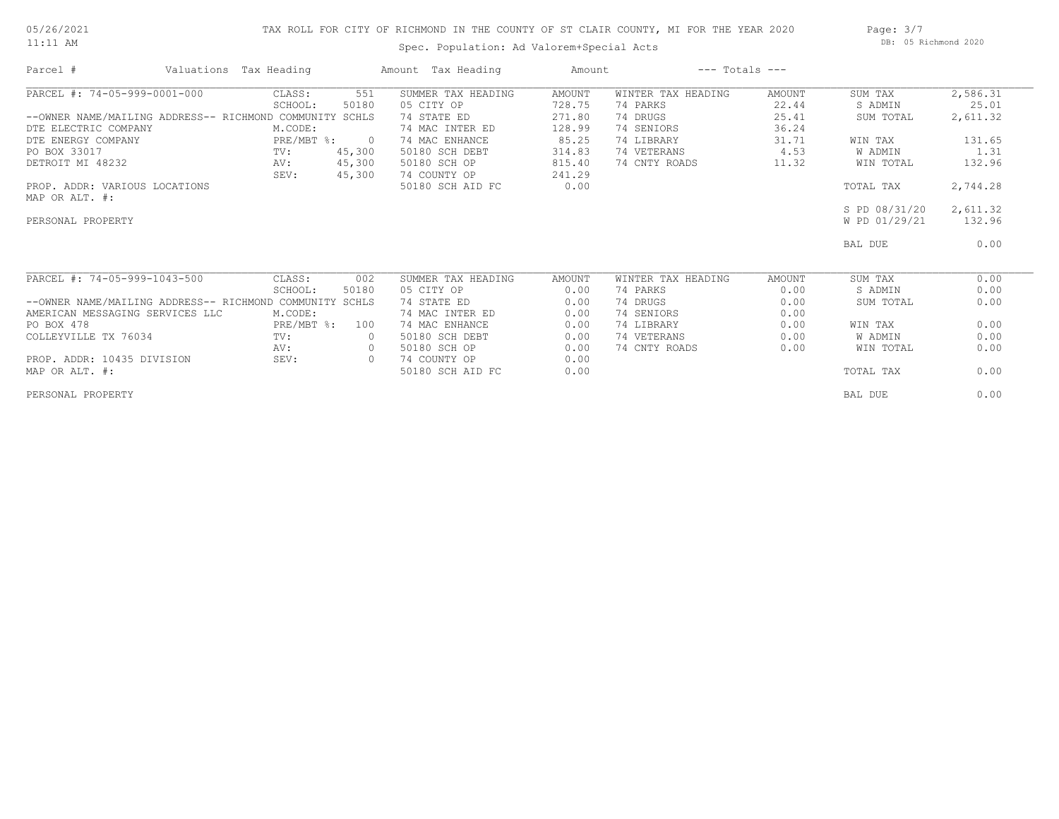#### 05/26/2021 11:11 AM

## TAX ROLL FOR CITY OF RICHMOND IN THE COUNTY OF ST CLAIR COUNTY, MI FOR THE YEAR 2020

Spec. Population: Ad Valorem+Special Acts

Page: 3/7 DB: 05 Richmond 2020

| Parcel #                                          | Valuations Tax Heading |                | Amount Tax Heading | Amount | $---$ Totals $---$ |        |               |          |
|---------------------------------------------------|------------------------|----------------|--------------------|--------|--------------------|--------|---------------|----------|
| PARCEL #: 74-05-999-0001-000                      | CLASS:                 | 551            | SUMMER TAX HEADING | AMOUNT | WINTER TAX HEADING | AMOUNT | SUM TAX       | 2,586.31 |
|                                                   | SCHOOL:                | 50180          | 05 CITY OP         | 728.75 | 74 PARKS           | 22.44  | S ADMIN       | 25.01    |
| --OWNER NAME/MAILING ADDRESS-- RICHMOND COMMUNITY |                        | SCHLS          | 74 STATE ED        | 271.80 | 74 DRUGS           | 25.41  | SUM TOTAL     | 2,611.32 |
| DTE ELECTRIC COMPANY                              | M.CODE:                |                | 74 MAC INTER ED    | 128.99 | 74 SENIORS         | 36.24  |               |          |
| DTE ENERGY COMPANY                                | $PRE/MBT$ $\div$       | $\overline{0}$ | 74 MAC ENHANCE     | 85.25  | 74 LIBRARY         | 31.71  | WIN TAX       | 131.65   |
| PO BOX 33017                                      | TV:                    | 45,300         | 50180 SCH DEBT     | 314.83 | 74 VETERANS        | 4.53   | W ADMIN       | 1.31     |
| DETROIT MI 48232                                  | AV:                    | 45,300         | 50180 SCH OP       | 815.40 | 74 CNTY ROADS      | 11.32  | WIN TOTAL     | 132.96   |
|                                                   | SEV:                   | 45,300         | 74 COUNTY OP       | 241.29 |                    |        |               |          |
| PROP. ADDR: VARIOUS LOCATIONS                     |                        |                | 50180 SCH AID FC   | 0.00   |                    |        | TOTAL TAX     | 2,744.28 |
| MAP OR ALT. #:                                    |                        |                |                    |        |                    |        |               |          |
|                                                   |                        |                |                    |        |                    |        | S PD 08/31/20 | 2,611.32 |
| PERSONAL PROPERTY                                 |                        |                |                    |        |                    |        | W PD 01/29/21 | 132.96   |
|                                                   |                        |                |                    |        |                    |        | BAL DUE       | 0.00     |
| PARCEL #: 74-05-999-1043-500                      | CLASS:                 | 002            | SUMMER TAX HEADING | AMOUNT | WINTER TAX HEADING | AMOUNT | SUM TAX       | 0.00     |
|                                                   | SCHOOL:                | 50180          | 05 CITY OP         | 0.00   | 74 PARKS           | 0.00   | S ADMIN       | 0.00     |
| --OWNER NAME/MAILING ADDRESS-- RICHMOND COMMUNITY |                        | SCHLS          | 74 STATE ED        | 0.00   | 74 DRUGS           | 0.00   | SUM TOTAL     | 0.00     |
| AMERICAN MESSAGING SERVICES LLC                   | M.CODE:                |                | 74 MAC INTER ED    | 0.00   | 74 SENIORS         | 0.00   |               |          |
| PO BOX 478                                        | PRE/MBT %:             | 100            | 74 MAC ENHANCE     | 0.00   | 74 LIBRARY         | 0.00   | WIN TAX       | 0.00     |
| COLLEYVILLE TX 76034                              | TV:                    |                | 50180 SCH DEBT     | 0.00   | 74 VETERANS        | 0.00   | W ADMIN       | 0.00     |
|                                                   | AV:                    | $\circ$        | 50180 SCH OP       | 0.00   | 74 CNTY ROADS      | 0.00   | WIN TOTAL     | 0.00     |
| PROP. ADDR: 10435 DIVISION                        | SEV:                   | $\circ$        | 74 COUNTY OP       | 0.00   |                    |        |               |          |
| MAP OR ALT. #:                                    |                        |                | 50180 SCH AID FC   | 0.00   |                    |        | TOTAL TAX     | 0.00     |
| PERSONAL PROPERTY                                 |                        |                |                    |        |                    |        | BAL DUE       | 0.00     |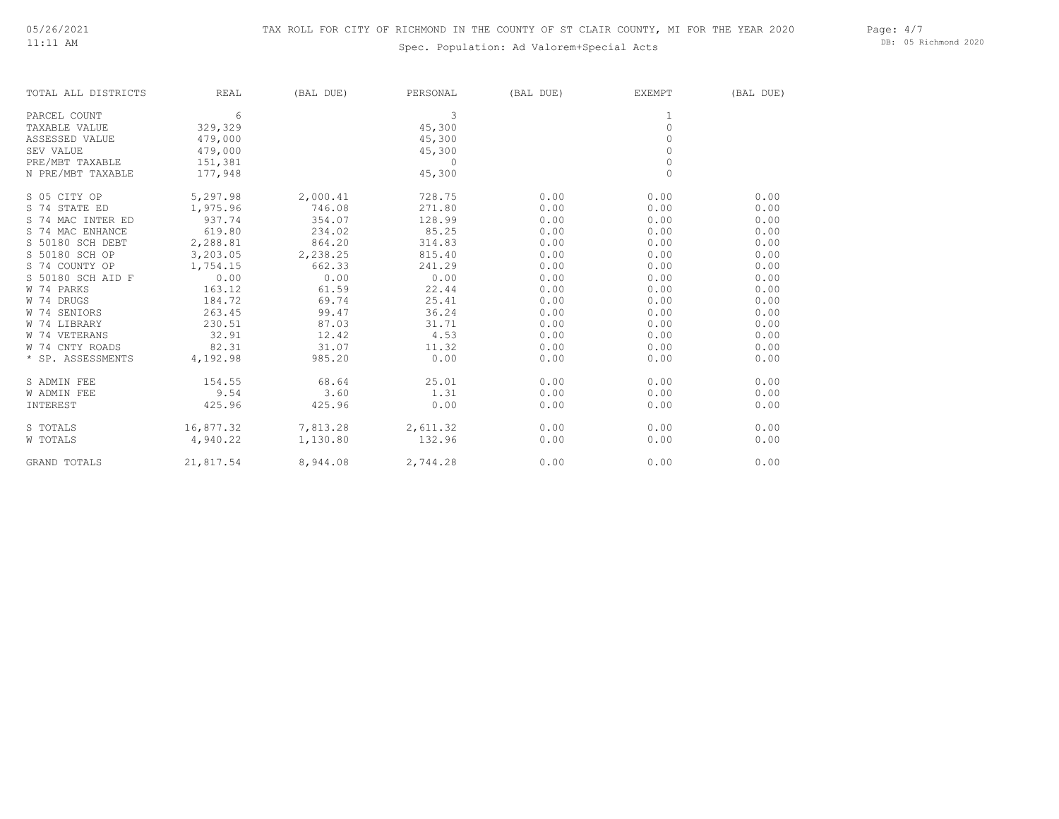## Spec. Population: Ad Valorem+Special Acts

Page: 4/7 DB: 05 Richmond 2020

| TOTAL ALL DISTRICTS | REAL               | (BAL DUE)         | PERSONAL | (BAL DUE) | EXEMPT       | (BAL DUE) |
|---------------------|--------------------|-------------------|----------|-----------|--------------|-----------|
| PARCEL COUNT        | 6                  |                   | 3        |           | 1            |           |
| TAXABLE VALUE       | 329,329            |                   | 45,300   |           | $\mathbf{0}$ |           |
| ASSESSED VALUE      | 479,000            |                   | 45,300   |           | 0            |           |
| SEV VALUE           | 479,000            |                   | 45,300   |           | $\circ$      |           |
| PRE/MBT TAXABLE     | 151,381            |                   | $\circ$  |           | $\mathbf{0}$ |           |
| N PRE/MBT TAXABLE   | 177,948            |                   | 45,300   |           | $\mathbf{0}$ |           |
| S 05 CITY OP        | 5,297.98           | 2,000.41          | 728.75   | 0.00      | 0.00         | 0.00      |
| S 74 STATE ED       | 1,975.96           | 746.08            | 271.80   | 0.00      | 0.00         | 0.00      |
| S 74 MAC INTER ED   | 937.74             | 354.07            | 128.99   | 0.00      | 0.00         | 0.00      |
| S 74 MAC ENHANCE    | 619.80             | 234.02            | 85.25    | 0.00      | 0.00         | 0.00      |
| S 50180 SCH DEBT    | 2,288.81           | 864.20            | 314.83   | 0.00      | 0.00         | 0.00      |
| S 50180 SCH OP      | 3,203.05           | 2,238.25          | 815.40   | 0.00      | 0.00         | 0.00      |
| S 74 COUNTY OP      | 1,754.15           | 662.33            | 241.29   | 0.00      | 0.00         | 0.00      |
| S 50180 SCH AID F   | 0.00               | 0.00              | 0.00     | 0.00      | 0.00         | 0.00      |
| W 74 PARKS          | 163.12             | 61.59             | 22.44    | 0.00      | 0.00         | 0.00      |
| W 74 DRUGS          | 184.72             | 69.74             | 25.41    | 0.00      | 0.00         | 0.00      |
| W 74 SENIORS        | 263.45             | 99.47             | 36.24    | 0.00      | 0.00         | 0.00      |
| W 74 LIBRARY        | 230.51             | 87.03             | 31.71    | 0.00      | 0.00         | 0.00      |
| W 74 VETERANS       | 32.91              | 12.42             | 4.53     | 0.00      | 0.00         | 0.00      |
| W 74 CNTY ROADS     | 82.31              | 31.07             | 11.32    | 0.00      | 0.00         | 0.00      |
| * SP. ASSESSMENTS   | 4,192.98           | 985.20            | 0.00     | 0.00      | 0.00         | 0.00      |
| S ADMIN FEE         | 154.55             | 68.64             | 25.01    | 0.00      | 0.00         | 0.00      |
| W ADMIN FEE         | 9.54               | 3.60              | 1.31     | 0.00      | 0.00         | 0.00      |
| INTEREST            | 425.96             | 425.96            | 0.00     | 0.00      | 0.00         | 0.00      |
| S TOTALS            | 16,877.32          | 7,813.28 2,611.32 |          | 0.00      | 0.00         | 0.00      |
| W TOTALS            | 4,940.22           | 1,130.80          | 132.96   | 0.00      | 0.00         | 0.00      |
| GRAND TOTALS        | 21,817.54 8,944.08 |                   | 2,744.28 | 0.00      | 0.00         | 0.00      |
|                     |                    |                   |          |           |              |           |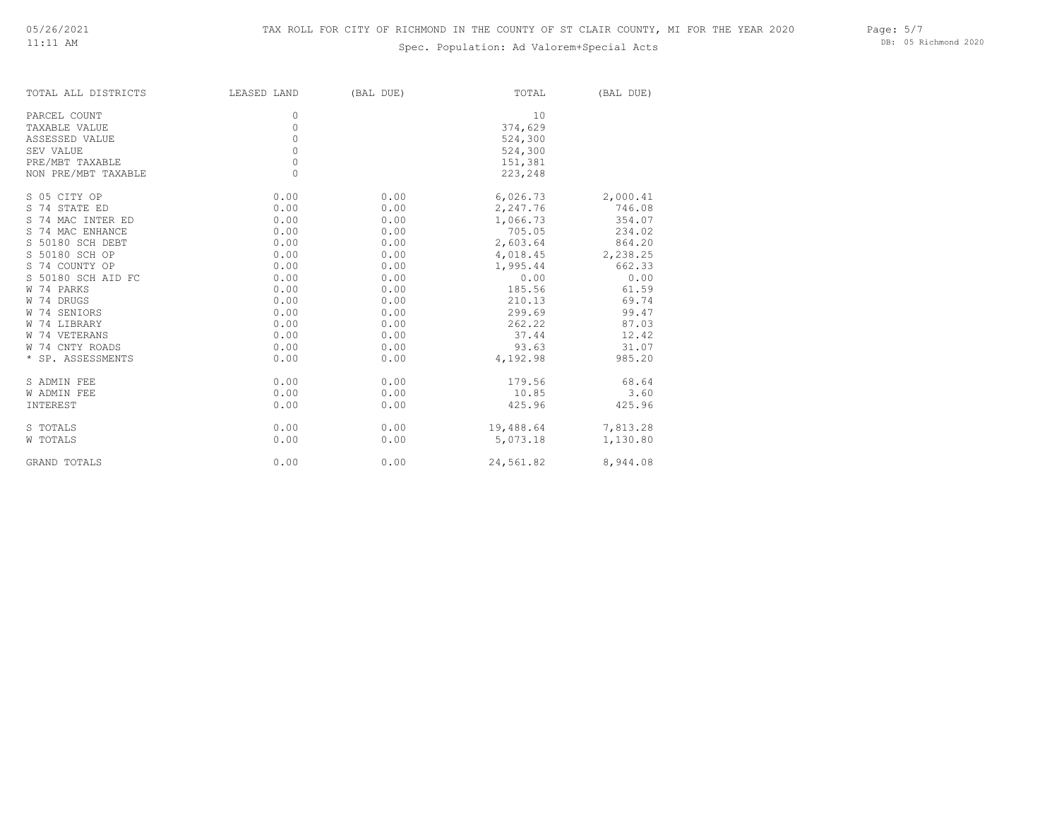# Spec. Population: Ad Valorem+Special Acts

Page: 5/7 DB: 05 Richmond 2020

| TOTAL ALL DISTRICTS | LEASED LAND | (BAL DUE) | TOTAL     | (BAL DUE) |
|---------------------|-------------|-----------|-----------|-----------|
| PARCEL COUNT        | $\Omega$    |           | 10        |           |
| TAXABLE VALUE       | 0           |           | 374,629   |           |
| ASSESSED VALUE      | 0           |           | 524,300   |           |
| SEV VALUE           | 0           |           | 524,300   |           |
| PRE/MBT TAXABLE     | 0           |           | 151,381   |           |
| NON PRE/MBT TAXABLE | 0           |           | 223,248   |           |
| S 05 CITY OP        | 0.00        | 0.00      | 6,026.73  | 2,000.41  |
| S 74 STATE ED       | 0.00        | 0.00      | 2,247.76  | 746.08    |
| S 74 MAC INTER ED   | 0.00        | 0.00      | 1,066.73  | 354.07    |
| S 74 MAC ENHANCE    | 0.00        | 0.00      | 705.05    | 234.02    |
| S 50180 SCH DEBT    | 0.00        | 0.00      | 2,603.64  | 864.20    |
| S 50180 SCH OP      | 0.00        | 0.00      | 4,018.45  | 2,238.25  |
| S 74 COUNTY OP      | 0.00        | 0.00      | 1,995.44  | 662.33    |
| S 50180 SCH AID FC  | 0.00        | 0.00      | 0.00      | 0.00      |
| W 74 PARKS          | 0.00        | 0.00      | 185.56    | 61.59     |
| W 74 DRUGS          | 0.00        | 0.00      | 210.13    | 69.74     |
| W 74 SENIORS        | 0.00        | 0.00      | 299.69    | 99.47     |
| W 74 LIBRARY        | 0.00        | 0.00      | 262.22    | 87.03     |
| W 74 VETERANS       | 0.00        | 0.00      | 37.44     | 12.42     |
| W 74 CNTY ROADS     | 0.00        | 0.00      | 93.63     | 31.07     |
| * SP. ASSESSMENTS   | 0.00        | 0.00      | 4,192.98  | 985.20    |
| S ADMIN FEE         | 0.00        | 0.00      | 179.56    | 68.64     |
| W ADMIN FEE         | 0.00        | 0.00      | 10.85     | 3.60      |
| INTEREST            | 0.00        | 0.00      | 425.96    | 425.96    |
| S TOTALS            | 0.00        | 0.00      | 19,488.64 | 7,813.28  |
| W TOTALS            | 0.00        | 0.00      | 5,073.18  | 1,130.80  |
| GRAND TOTALS        | 0.00        | 0.00      | 24,561.82 | 8,944.08  |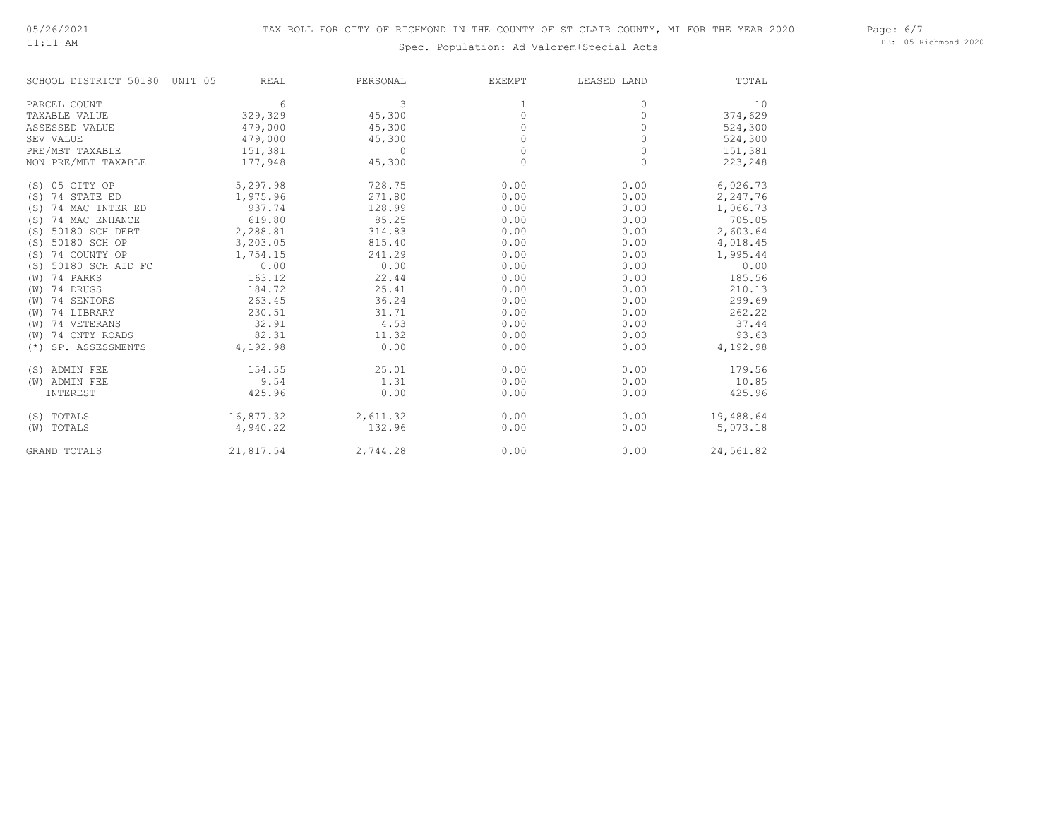11:11 AM

# Spec. Population: Ad Valorem+Special Acts

Page: 6/7 DB: 05 Richmond 2020

| SCHOOL DISTRICT 50180    | UNIT 05<br><b>REAL</b> | PERSONAL     | <b>EXEMPT</b> | LEASED LAND | TOTAL     |
|--------------------------|------------------------|--------------|---------------|-------------|-----------|
| PARCEL COUNT             | 6                      | 3            |               | 0           | 10        |
| TAXABLE VALUE            | 329,329                | 45,300       | 0             | 0           | 374,629   |
| ASSESSED VALUE           | 479,000                | 45,300       |               | $\Omega$    | 524,300   |
| SEV VALUE                | 479,000                | 45,300       |               | 0           | 524,300   |
| PRE/MBT TAXABLE          | 151,381                | $\mathbf{0}$ |               | 0           | 151,381   |
| NON PRE/MBT TAXABLE      | 177,948                | 45,300       | $\Omega$      | 0           | 223,248   |
| (S) 05 CITY OP           | 5,297.98               | 728.75       | 0.00          | 0.00        | 6,026.73  |
| 74 STATE ED<br>(S)       | 1,975.96               | 271.80       | 0.00          | 0.00        | 2,247.76  |
| 74 MAC INTER ED<br>(S)   | 937.74                 | 128.99       | 0.00          | 0.00        | 1,066.73  |
| 74 MAC ENHANCE<br>(S)    | 619.80                 | 85.25        | 0.00          | 0.00        | 705.05    |
| 50180 SCH DEBT<br>(S)    | 2,288.81               | 314.83       | 0.00          | 0.00        | 2,603.64  |
| 50180 SCH OP<br>(S)      | 3,203.05               | 815.40       | 0.00          | 0.00        | 4,018.45  |
| 74 COUNTY OP<br>(S)      | 1,754.15               | 241.29       | 0.00          | 0.00        | 1,995.44  |
| 50180 SCH AID FC<br>(S)  | 0.00                   | 0.00         | 0.00          | 0.00        | 0.00      |
| 74 PARKS<br>(W)          | 163.12                 | 22.44        | 0.00          | 0.00        | 185.56    |
| 74 DRUGS<br>(W)          | 184.72                 | 25.41        | 0.00          | 0.00        | 210.13    |
| 74 SENIORS<br>(W)        | 263.45                 | 36.24        | 0.00          | 0.00        | 299.69    |
| 74 LIBRARY<br>(W)        | 230.51                 | 31.71        | 0.00          | 0.00        | 262.22    |
| 74 VETERANS<br>(W)       | 32.91                  | 4.53         | 0.00          | 0.00        | 37.44     |
| 74 CNTY ROADS<br>(W)     | 82.31                  | 11.32        | 0.00          | 0.00        | 93.63     |
| SP. ASSESSMENTS<br>$(*)$ | 4,192.98               | 0.00         | 0.00          | 0.00        | 4,192.98  |
| (S) ADMIN FEE            | 154.55                 | 25.01        | 0.00          | 0.00        | 179.56    |
| (W) ADMIN FEE            | 9.54                   | 1.31         | 0.00          | 0.00        | 10.85     |
| INTEREST                 | 425.96                 | 0.00         | 0.00          | 0.00        | 425.96    |
| (S) TOTALS               | 16,877.32              | 2,611.32     | 0.00          | 0.00        | 19,488.64 |
| (W) TOTALS               | 4,940.22               | 132.96       | 0.00          | 0.00        | 5,073.18  |
| <b>GRAND TOTALS</b>      | 21,817.54              | 2,744.28     | 0.00          | 0.00        | 24,561.82 |